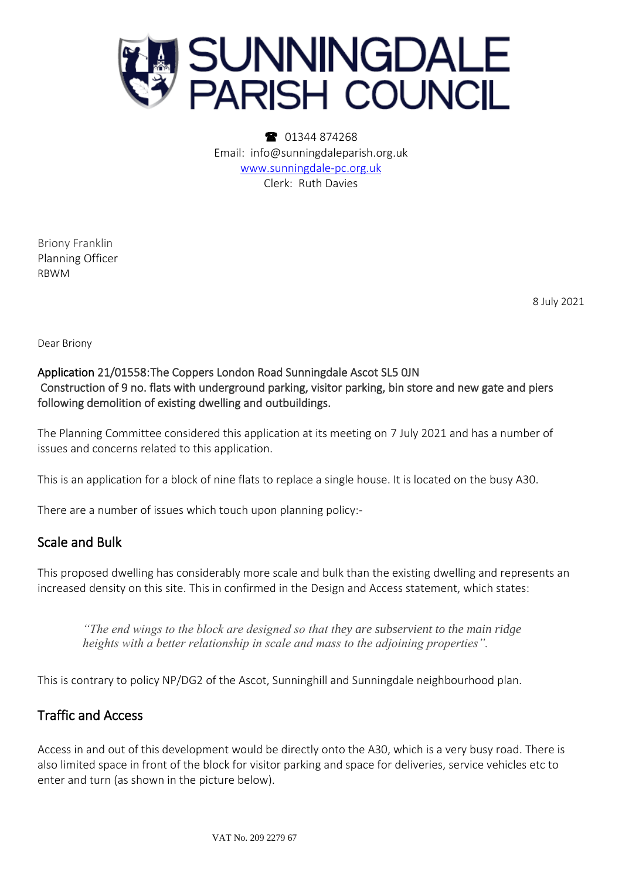

• 01344 874268 Email: info@sunningdaleparish.org.uk [www.sunningdale-pc.org.uk](http://www.sunningdale-pc.org.uk/) Clerk: Ruth Davies

Briony Franklin Planning Officer RBWM

8 July 2021

Dear Briony

### Application 21/01558: The Coppers London Road Sunningdale Ascot SL5 0JN Construction of 9 no. flats with underground parking, visitor parking, bin store and new gate and piers following demolition of existing dwelling and outbuildings.

The Planning Committee considered this application at its meeting on 7 July 2021 and has a number of issues and concerns related to this application.

This is an application for a block of nine flats to replace a single house. It is located on the busy A30.

There are a number of issues which touch upon planning policy:-

### Scale and Bulk

This proposed dwelling has considerably more scale and bulk than the existing dwelling and represents an increased density on this site. This in confirmed in the Design and Access statement, which states:

*"The end wings to the block are designed so that they are subservient to the main ridge heights with a better relationship in scale and mass to the adjoining properties".*

This is contrary to policy NP/DG2 of the Ascot, Sunninghill and Sunningdale neighbourhood plan.

# Traffic and Access

Access in and out of this development would be directly onto the A30, which is a very busy road. There is also limited space in front of the block for visitor parking and space for deliveries, service vehicles etc to enter and turn (as shown in the picture below).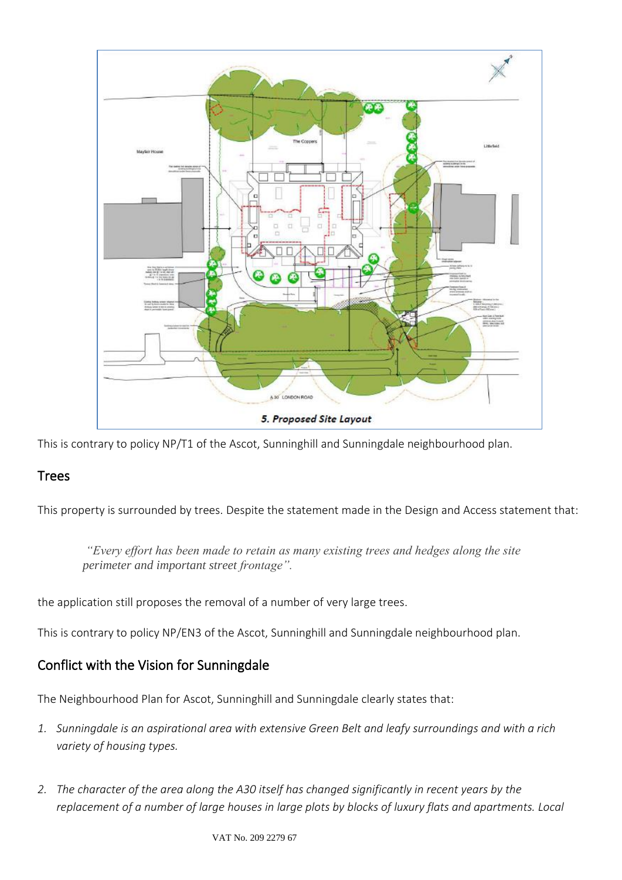

This is contrary to policy NP/T1 of the Ascot, Sunninghill and Sunningdale neighbourhood plan.

# Trees

This property is surrounded by trees. Despite the statement made in the Design and Access statement that:

*"Every effort has been made to retain as many existing trees and hedges along the site perimeter and important street frontage".*

the application still proposes the removal of a number of very large trees.

This is contrary to policy NP/EN3 of the Ascot, Sunninghill and Sunningdale neighbourhood plan.

# Conflict with the Vision for Sunningdale

The Neighbourhood Plan for Ascot, Sunninghill and Sunningdale clearly states that:

- *1. Sunningdale is an aspirational area with extensive Green Belt and leafy surroundings and with a rich variety of housing types.*
- *2. The character of the area along the A30 itself has changed significantly in recent years by the replacement of a number of large houses in large plots by blocks of luxury flats and apartments. Local*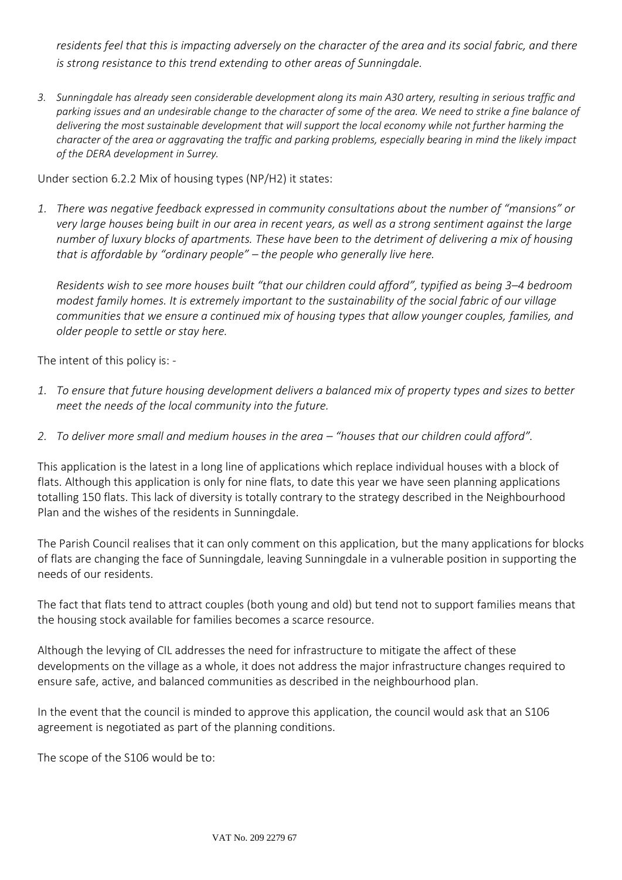*residents feel that this is impacting adversely on the character of the area and its social fabric, and there is strong resistance to this trend extending to other areas of Sunningdale.*

*3. Sunningdale has already seen considerable development along its main A30 artery, resulting in serious traffic and parking issues and an undesirable change to the character of some of the area. We need to strike a fine balance of delivering the most sustainable development that will support the local economy while not further harming the character of the area or aggravating the traffic and parking problems, especially bearing in mind the likely impact of the DERA development in Surrey.* 

Under section 6.2.2 Mix of housing types (NP/H2) it states:

*1. There was negative feedback expressed in community consultations about the number of "mansions" or very large houses being built in our area in recent years, as well as a strong sentiment against the large number of luxury blocks of apartments. These have been to the detriment of delivering a mix of housing that is affordable by "ordinary people" – the people who generally live here.* 

*Residents wish to see more houses built "that our children could afford", typified as being 3–4 bedroom modest family homes. It is extremely important to the sustainability of the social fabric of our village communities that we ensure a continued mix of housing types that allow younger couples, families, and older people to settle or stay here.*

The intent of this policy is: -

- *1. To ensure that future housing development delivers a balanced mix of property types and sizes to better meet the needs of the local community into the future.*
- 2. To deliver more small and medium houses in the area "houses that our children could afford".

This application is the latest in a long line of applications which replace individual houses with a block of flats. Although this application is only for nine flats, to date this year we have seen planning applications totalling 150 flats. This lack of diversity is totally contrary to the strategy described in the Neighbourhood Plan and the wishes of the residents in Sunningdale.

The Parish Council realises that it can only comment on this application, but the many applications for blocks of flats are changing the face of Sunningdale, leaving Sunningdale in a vulnerable position in supporting the needs of our residents.

The fact that flats tend to attract couples (both young and old) but tend not to support families means that the housing stock available for families becomes a scarce resource.

Although the levying of CIL addresses the need for infrastructure to mitigate the affect of these developments on the village as a whole, it does not address the major infrastructure changes required to ensure safe, active, and balanced communities as described in the neighbourhood plan.

In the event that the council is minded to approve this application, the council would ask that an S106 agreement is negotiated as part of the planning conditions.

The scope of the S106 would be to: